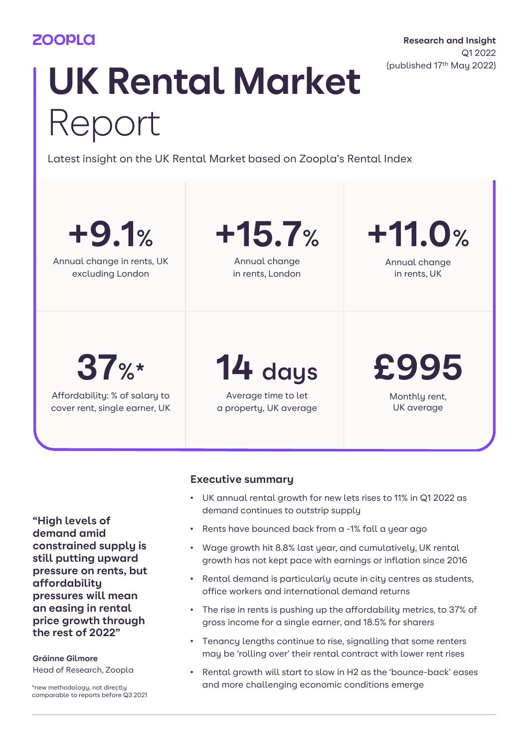## **ZOOPLO**

**Research and Insight** Q1 2022 (published 17th May 2022)

# **UK Rental Market** Report

Latest insight on the UK Rental Market based on Zoopla's Rental Index

| $+9.1%$                       | $+15.7%$               | $+11.0%$      |  |  |
|-------------------------------|------------------------|---------------|--|--|
| Annual change in rents, UK    | Annual change          | Annual change |  |  |
| excluding London              | in rents, London       | in rents, UK  |  |  |
| 37%                           | 14 days                | £995          |  |  |
| Affordability: % of salary to | Average time to let    | Monthly rent, |  |  |
| cover rent, single earner, UK | a property, UK average | UK average    |  |  |

**"High levels of demand amid constrained supply is still putting upward pressure on rents, but affordability pressures will mean an easing in rental price growth through the rest of 2022"**

**Gráinne Gilmore** Head of Research, Zoopla

\*new methodology, not directly comparable to reports before Q3 2021

## **Executive summary**

- UK annual rental growth for new lets rises to 11% in Q1 2022 as demand continues to outstrip supply
- Rents have bounced back from a -1% fall a year ago
- Wage growth hit 8.8% last year, and cumulatively, UK rental growth has not kept pace with earnings or inflation since 2016
- Rental demand is particularly acute in city centres as students, office workers and international demand returns
- The rise in rents is pushing up the affordability metrics, to 37% of gross income for a single earner, and 18.5% for sharers
- Tenancy lengths continue to rise, signalling that some renters may be 'rolling over' their rental contract with lower rent rises
- Rental growth will start to slow in H2 as the 'bounce-back' eases and more challenging economic conditions emerge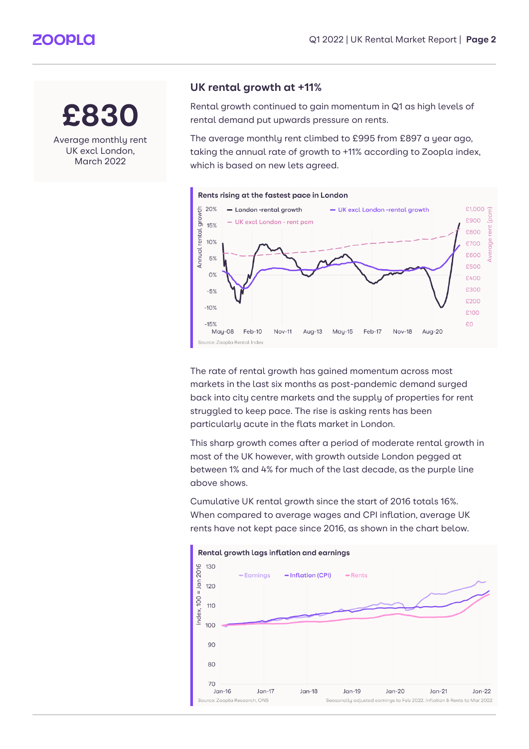## **ZOOPLA**

## **£830**

Average monthly rent UK excl London, March 2022

## **UK rental growth at +11%**

Rental growth continued to gain momentum in Q1 as high levels of rental demand put upwards pressure on rents.

The average monthly rent climbed to £995 from £897 a year ago, taking the annual rate of growth to +11% according to Zoopla index, which is based on new lets agreed.



The rate of rental growth has gained momentum across most markets in the last six months as post-pandemic demand surged back into city centre markets and the supply of properties for rent struggled to keep pace. The rise is asking rents has been particularly acute in the flats market in London.

This sharp growth comes after a period of moderate rental growth in most of the UK however, with growth outside London pegged at between 1% and 4% for much of the last decade, as the purple line above shows.

Cumulative UK rental growth since the start of 2016 totals 16%. When compared to average wages and CPI inflation, average UK rents have not kept pace since 2016, as shown in the chart below.

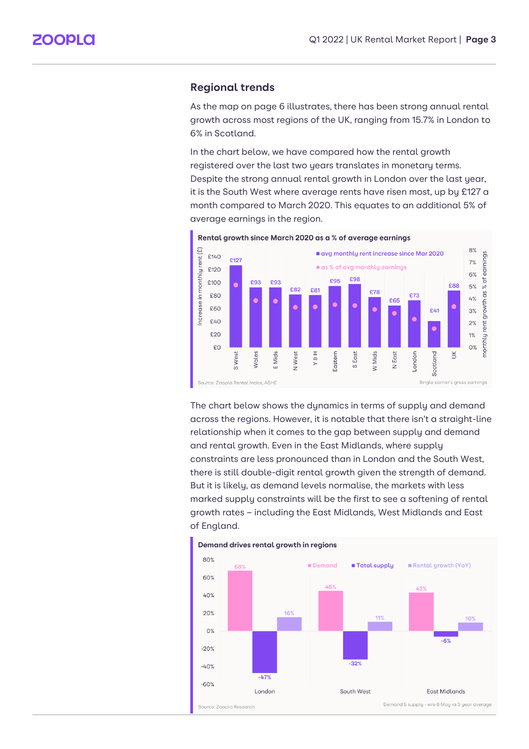#### **Regional trends**

As the map on page 6 illustrates, there has been strong annual rental growth across most regions of the UK, ranging from 15.7% in London to 6% in Scotland.

In the chart below, we have compared how the rental growth registered over the last two years translates in monetary terms. Despite the strong annual rental growth in London over the last year, it is the South West where average rents have risen most, up by £127 a month compared to March 2020. This equates to an additional 5% of average earnings in the region.



Rental growth since March 2020 as a % of average earnings

The chart below shows the dynamics in terms of supply and demand across the regions. However, it is notable that there isn't a straight-line relationship when it comes to the gap between supply and demand and rental growth. Even in the East Midlands, where supply constraints are less pronounced than in London and the South West, there is still double-digit rental growth given the strength of demand. But it is likely, as demand levels normalise, the markets with less marked supply constraints will be the first to see a softening of rental growth rates – including the East Midlands, West Midlands and East of England.

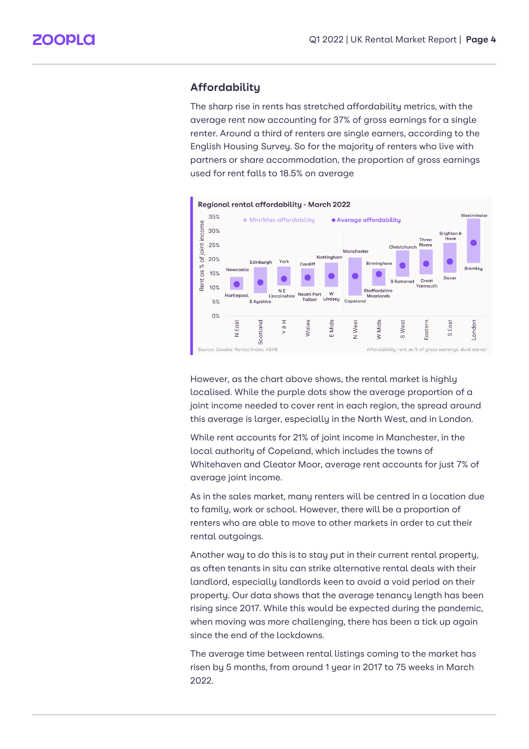## **Affordability**

The sharp rise in rents has stretched affordability metrics, with the average rent now accounting for 37% of gross earnings for a single renter. Around a third of renters are single earners, according to the English Housing Survey. So for the majority of renters who live with partners or share accommodation, the proportion of gross earnings used for rent falls to 18.5% on average



However, as the chart above shows, the rental market is highly localised. While the purple dots show the average proportion of a joint income needed to cover rent in each region, the spread around this average is larger, especially in the North West, and in London.

While rent accounts for 21% of joint income in Manchester, in the local authority of Copeland, which includes the towns of Whitehaven and Cleator Moor, average rent accounts for just 7% of average joint income.

As in the sales market, many renters will be centred in a location due to family, work or school. However, there will be a proportion of renters who are able to move to other markets in order to cut their rental outgoings.

Another way to do this is to stay put in their current rental property, as often tenants in situ can strike alternative rental deals with their landlord, especially landlords keen to avoid a void period on their property. Our data shows that the average tenancy length has been rising since 2017. While this would be expected during the pandemic, when moving was more challenging, there has been a tick up again since the end of the lockdowns.

The average time between rental listings coming to the market has risen by 5 months, from around 1 year in 2017 to 75 weeks in March 2022.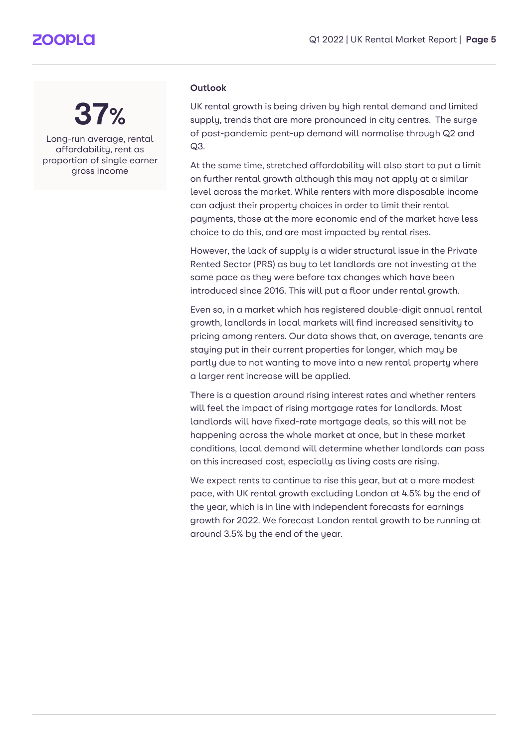## **ZOOPLO**

## **37%**

Long-run average, rental affordability, rent as proportion of single earner gross income

### **Outlook**

UK rental growth is being driven by high rental demand and limited supply, trends that are more pronounced in city centres. The surge of post-pandemic pent-up demand will normalise through Q2 and Q3.

At the same time, stretched affordability will also start to put a limit on further rental growth although this may not apply at a similar level across the market. While renters with more disposable income can adjust their property choices in order to limit their rental payments, those at the more economic end of the market have less choice to do this, and are most impacted by rental rises.

However, the lack of supply is a wider structural issue in the Private Rented Sector (PRS) as buy to let landlords are not investing at the same pace as they were before tax changes which have been introduced since 2016. This will put a floor under rental growth.

Even so, in a market which has registered double-digit annual rental growth, landlords in local markets will find increased sensitivity to pricing among renters. Our data shows that, on average, tenants are staying put in their current properties for longer, which may be partly due to not wanting to move into a new rental property where a larger rent increase will be applied.

There is a question around rising interest rates and whether renters will feel the impact of rising mortgage rates for landlords. Most landlords will have fixed-rate mortgage deals, so this will not be happening across the whole market at once, but in these market conditions, local demand will determine whether landlords can pass on this increased cost, especially as living costs are rising.

We expect rents to continue to rise this year, but at a more modest pace, with UK rental growth excluding London at 4.5% by the end of the year, which is in line with independent forecasts for earnings growth for 2022. We forecast London rental growth to be running at around 3.5% by the end of the year.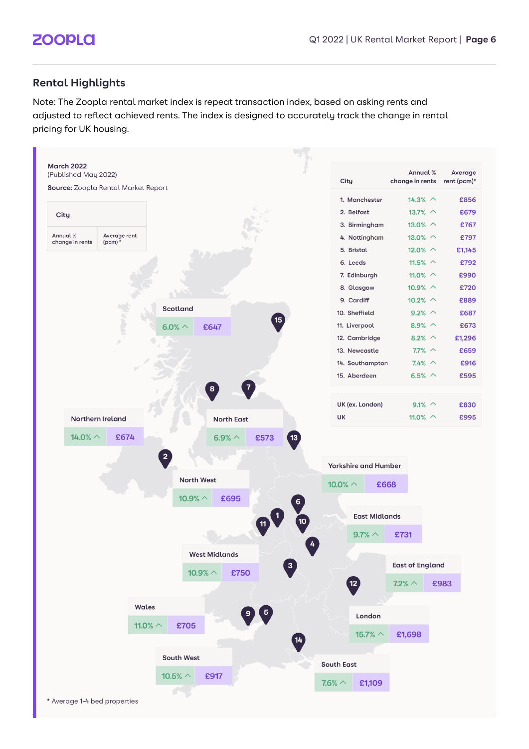## **Rental Highlights**

Note: The Zoopla rental market index is repeat transaction index, based on asking rents and adjusted to reflect achieved rents. The index is designed to accurately track the change in rental pricing for UK housing.

| <b>March 2022</b><br>(Published May 2022) |                           |                       |                              |    | City                        | Annual %<br>change in rents | Average<br>rent (pcm)* |
|-------------------------------------------|---------------------------|-----------------------|------------------------------|----|-----------------------------|-----------------------------|------------------------|
| Source: Zoopla Rental Market Report       |                           |                       |                              |    |                             |                             |                        |
|                                           |                           |                       |                              |    | 1. Manchester               | $14.3% \sim$                | £856                   |
| City                                      |                           |                       |                              |    | 2. Belfast                  | 13.7% $\sim$                | £679                   |
|                                           |                           |                       |                              |    | 3. Birmingham               | 13.0% $\sim$                | £767                   |
| Annual %<br>change in rents               | Average rent<br>(pcm) $*$ |                       |                              |    | 4. Nottingham               | 13.0% $\sim$                | £797                   |
|                                           |                           |                       |                              |    | 5. Bristol                  | 12.0% $\sim$                | £1,145                 |
|                                           |                           |                       |                              |    | 6. Leeds                    | 11.5% $\sim$                | £792                   |
|                                           |                           |                       |                              |    | 7. Edinburgh                | 11.0% $\sim$                | £990                   |
|                                           |                           |                       |                              |    | 8. Glasgow                  | 10.9% $\sim$                | £720                   |
|                                           |                           | <b>Scotland</b>       |                              |    | 9. Cardiff                  | 10.2% $\sim$                | £889                   |
|                                           |                           |                       |                              | 15 | 10. Sheffield               | $9.2%$ ^                    | £687                   |
|                                           |                           | 6.0% $\land$          | £647                         |    | 11. Liverpool               | 8.9% $\sim$                 | £673                   |
|                                           |                           |                       |                              |    | 12. Cambridge               | 8.2% $\sim$                 | £1,296                 |
|                                           |                           |                       |                              |    | 13. Newcastle               | $7.7\%$ ^                   | £659                   |
|                                           |                           |                       |                              |    | 14. Southampton             | $7.4%$ ^                    | £916                   |
|                                           |                           |                       | $\overline{7}$<br>8          |    | 15. Aberdeen                | 6.5% $\wedge$               | £595                   |
|                                           |                           |                       |                              |    | UK (ex. London)             | $9.1\%~$                    | £830                   |
|                                           | Northern Ireland          |                       | <b>North East</b>            |    | UK                          | 11.0% $\sim$                | £995                   |
|                                           |                           |                       |                              |    | <b>Yorkshire and Humber</b> |                             |                        |
|                                           |                           | <b>North West</b>     |                              |    | 10.0% $\land$               | £668                        |                        |
|                                           |                           | 10.9% $\land$         | £695                         | 6  |                             |                             |                        |
|                                           |                           |                       |                              | 10 | <b>East Midlands</b>        |                             |                        |
|                                           |                           |                       |                              |    | $9.7\% \sim$                | £731                        |                        |
|                                           |                           |                       | <b>West Midlands</b>         |    |                             | <b>East of England</b>      |                        |
|                                           |                           | 10.9% $\land$         | £750                         | 3  |                             |                             |                        |
|                                           |                           |                       |                              |    | $\overline{12}$             | $7.2\% \wedge$              | £983                   |
|                                           |                           | Wales                 |                              |    |                             |                             |                        |
|                                           |                           |                       | $\overline{\mathbf{5}}$<br>9 |    | London                      |                             |                        |
|                                           |                           | £705<br>11.0% $\land$ |                              |    | 15.7% $\land$               | £1,698                      |                        |
|                                           |                           |                       |                              | 14 |                             |                             |                        |
|                                           |                           | <b>South West</b>     |                              |    |                             |                             |                        |
|                                           |                           |                       |                              |    | <b>South East</b>           |                             |                        |
|                                           |                           | 10.5% $\land$         | £917                         |    | £1,109<br>$7.6\% \wedge$    |                             |                        |
|                                           |                           |                       |                              |    |                             |                             |                        |
| * Average 1-4 bed properties              |                           |                       |                              |    |                             |                             |                        |